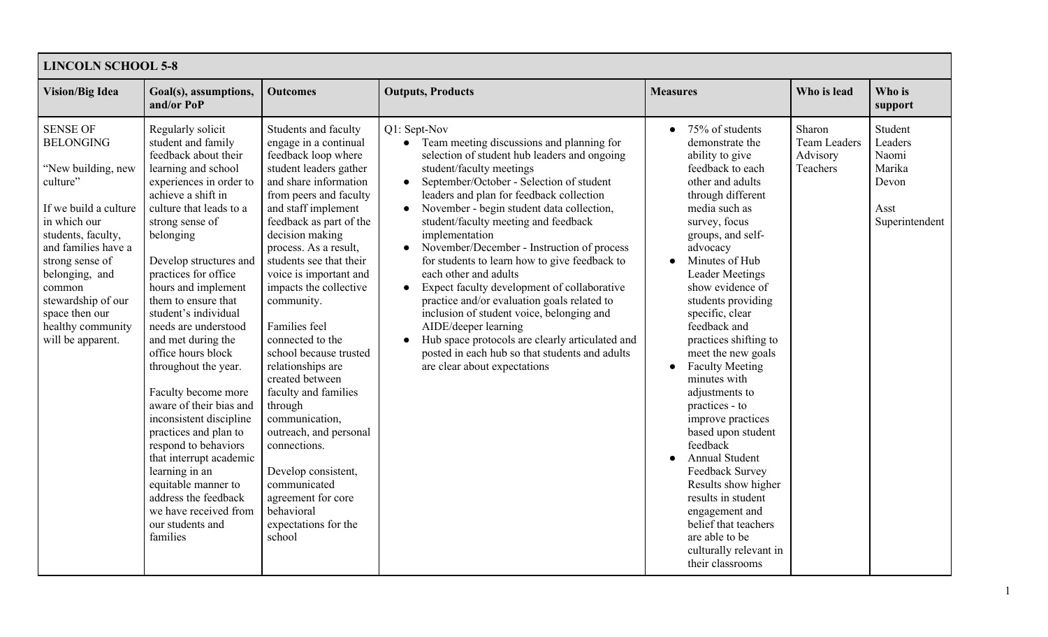| <b>LINCOLN SCHOOL 5-8</b>                                                                                                                                                                                                                                                                    |                                                                                                                                                                                                                                                                                                                                                                                                                                                                                                                                                                                                                                                                                                           |                                                                                                                                                                                                                                                                                                                                                                                                                                                                                                                                                                                                                                                                 |                                                                                                                                                                                                                                                                                                                                                                                                                                                                                                                                                                                                                                                                                                                                                                                                                                       |                                                                                                                                                                                                                                                                                                                                                                                                                                                                                                                                                                                                                                                                                                       |                                                       |                                                                          |
|----------------------------------------------------------------------------------------------------------------------------------------------------------------------------------------------------------------------------------------------------------------------------------------------|-----------------------------------------------------------------------------------------------------------------------------------------------------------------------------------------------------------------------------------------------------------------------------------------------------------------------------------------------------------------------------------------------------------------------------------------------------------------------------------------------------------------------------------------------------------------------------------------------------------------------------------------------------------------------------------------------------------|-----------------------------------------------------------------------------------------------------------------------------------------------------------------------------------------------------------------------------------------------------------------------------------------------------------------------------------------------------------------------------------------------------------------------------------------------------------------------------------------------------------------------------------------------------------------------------------------------------------------------------------------------------------------|---------------------------------------------------------------------------------------------------------------------------------------------------------------------------------------------------------------------------------------------------------------------------------------------------------------------------------------------------------------------------------------------------------------------------------------------------------------------------------------------------------------------------------------------------------------------------------------------------------------------------------------------------------------------------------------------------------------------------------------------------------------------------------------------------------------------------------------|-------------------------------------------------------------------------------------------------------------------------------------------------------------------------------------------------------------------------------------------------------------------------------------------------------------------------------------------------------------------------------------------------------------------------------------------------------------------------------------------------------------------------------------------------------------------------------------------------------------------------------------------------------------------------------------------------------|-------------------------------------------------------|--------------------------------------------------------------------------|
| <b>Vision/Big Idea</b>                                                                                                                                                                                                                                                                       | Goal(s), assumptions,<br>and/or PoP                                                                                                                                                                                                                                                                                                                                                                                                                                                                                                                                                                                                                                                                       | <b>Outcomes</b>                                                                                                                                                                                                                                                                                                                                                                                                                                                                                                                                                                                                                                                 | <b>Outputs, Products</b>                                                                                                                                                                                                                                                                                                                                                                                                                                                                                                                                                                                                                                                                                                                                                                                                              | <b>Measures</b>                                                                                                                                                                                                                                                                                                                                                                                                                                                                                                                                                                                                                                                                                       | Who is lead                                           | Who is<br>support                                                        |
| <b>SENSE OF</b><br><b>BELONGING</b><br>"New building, new<br>culture"<br>If we build a culture<br>in which our<br>students, faculty,<br>and families have a<br>strong sense of<br>belonging, and<br>common<br>stewardship of our<br>space then our<br>healthy community<br>will be apparent. | Regularly solicit<br>student and family<br>feedback about their<br>learning and school<br>experiences in order to<br>achieve a shift in<br>culture that leads to a<br>strong sense of<br>belonging<br>Develop structures and<br>practices for office<br>hours and implement<br>them to ensure that<br>student's individual<br>needs are understood<br>and met during the<br>office hours block<br>throughout the year.<br>Faculty become more<br>aware of their bias and<br>inconsistent discipline<br>practices and plan to<br>respond to behaviors<br>that interrupt academic<br>learning in an<br>equitable manner to<br>address the feedback<br>we have received from<br>our students and<br>families | Students and faculty<br>engage in a continual<br>feedback loop where<br>student leaders gather<br>and share information<br>from peers and faculty<br>and staff implement<br>feedback as part of the<br>decision making<br>process. As a result,<br>students see that their<br>voice is important and<br>impacts the collective<br>community.<br>Families feel<br>connected to the<br>school because trusted<br>relationships are<br>created between<br>faculty and families<br>through<br>communication,<br>outreach, and personal<br>connections.<br>Develop consistent,<br>communicated<br>agreement for core<br>behavioral<br>expectations for the<br>school | Q1: Sept-Nov<br>Team meeting discussions and planning for<br>$\bullet$<br>selection of student hub leaders and ongoing<br>student/faculty meetings<br>September/October - Selection of student<br>$\bullet$<br>leaders and plan for feedback collection<br>November - begin student data collection,<br>$\bullet$<br>student/faculty meeting and feedback<br>implementation<br>November/December - Instruction of process<br>$\bullet$<br>for students to learn how to give feedback to<br>each other and adults<br>Expect faculty development of collaborative<br>$\bullet$<br>practice and/or evaluation goals related to<br>inclusion of student voice, belonging and<br>AIDE/deeper learning<br>Hub space protocols are clearly articulated and<br>posted in each hub so that students and adults<br>are clear about expectations | 75% of students<br>demonstrate the<br>ability to give<br>feedback to each<br>other and adults<br>through different<br>media such as<br>survey, focus<br>groups, and self-<br>advocacy<br>Minutes of Hub<br><b>Leader Meetings</b><br>show evidence of<br>students providing<br>specific, clear<br>feedback and<br>practices shifting to<br>meet the new goals<br><b>Faculty Meeting</b><br>minutes with<br>adjustments to<br>practices - to<br>improve practices<br>based upon student<br>feedback<br><b>Annual Student</b><br>Feedback Survey<br>Results show higher<br>results in student<br>engagement and<br>belief that teachers<br>are able to be<br>culturally relevant in<br>their classrooms | Sharon<br><b>Team Leaders</b><br>Advisory<br>Teachers | Student<br>Leaders<br>Naomi<br>Marika<br>Devon<br>Asst<br>Superintendent |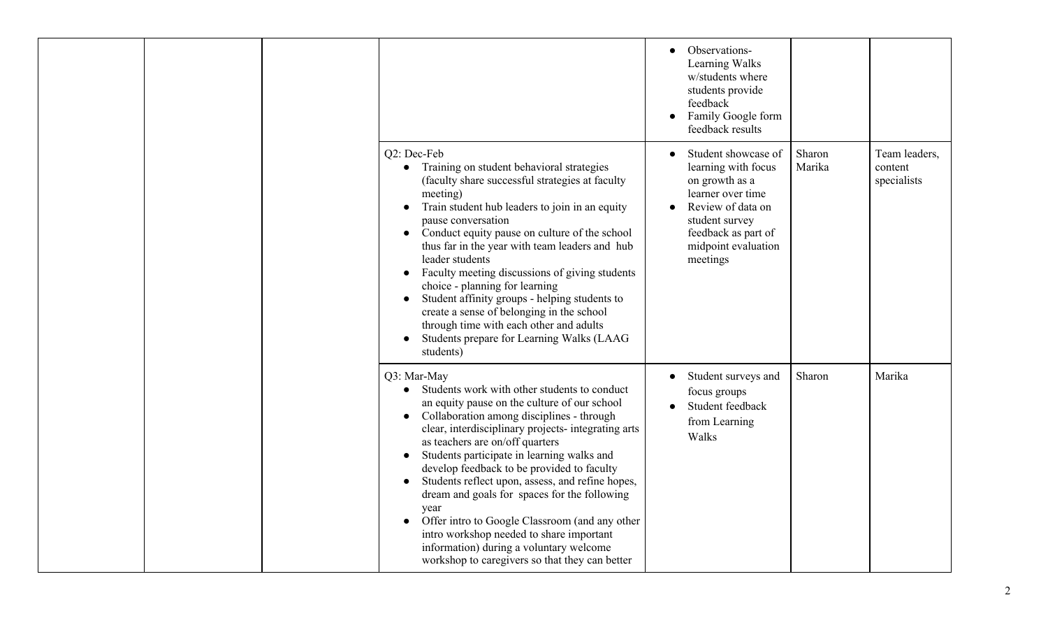|  |                                                                                                                                                                                                                                                                                                                                                                                                                                                                                                                                                                                                                                                       | Observations-<br>Learning Walks<br>w/students where<br>students provide<br>feedback<br>Family Google form<br>$\bullet$<br>feedback results                                                                   |                  |                                         |
|--|-------------------------------------------------------------------------------------------------------------------------------------------------------------------------------------------------------------------------------------------------------------------------------------------------------------------------------------------------------------------------------------------------------------------------------------------------------------------------------------------------------------------------------------------------------------------------------------------------------------------------------------------------------|--------------------------------------------------------------------------------------------------------------------------------------------------------------------------------------------------------------|------------------|-----------------------------------------|
|  | Q2: Dec-Feb<br>Training on student behavioral strategies<br>(faculty share successful strategies at faculty<br>meeting)<br>Train student hub leaders to join in an equity<br>pause conversation<br>Conduct equity pause on culture of the school<br>thus far in the year with team leaders and hub<br>leader students<br>Faculty meeting discussions of giving students<br>choice - planning for learning<br>Student affinity groups - helping students to<br>create a sense of belonging in the school<br>through time with each other and adults<br>Students prepare for Learning Walks (LAAG<br>students)                                          | Student showcase of<br>$\bullet$<br>learning with focus<br>on growth as a<br>learner over time<br>Review of data on<br>$\bullet$<br>student survey<br>feedback as part of<br>midpoint evaluation<br>meetings | Sharon<br>Marika | Team leaders,<br>content<br>specialists |
|  | Q3: Mar-May<br>Students work with other students to conduct<br>an equity pause on the culture of our school<br>Collaboration among disciplines - through<br>clear, interdisciplinary projects- integrating arts<br>as teachers are on/off quarters<br>Students participate in learning walks and<br>develop feedback to be provided to faculty<br>Students reflect upon, assess, and refine hopes,<br>dream and goals for spaces for the following<br>year<br>Offer intro to Google Classroom (and any other<br>intro workshop needed to share important<br>information) during a voluntary welcome<br>workshop to caregivers so that they can better | Student surveys and<br>$\bullet$<br>focus groups<br>Student feedback<br>from Learning<br>Walks                                                                                                               | Sharon           | Marika                                  |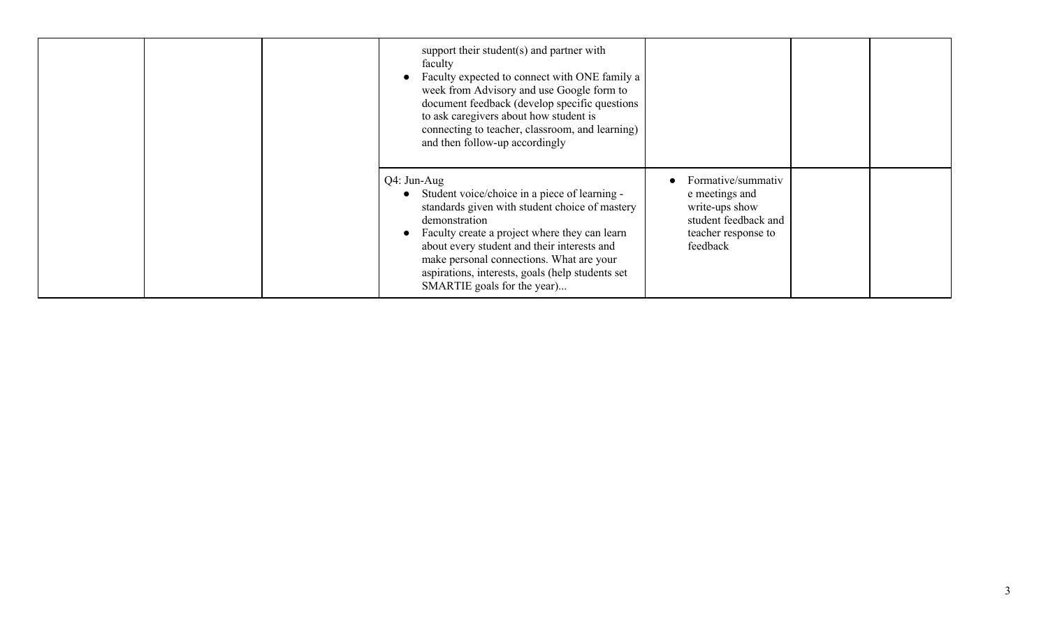| support their student(s) and partner with<br>faculty<br>Faculty expected to connect with ONE family a<br>week from Advisory and use Google form to<br>document feedback (develop specific questions<br>to ask caregivers about how student is<br>connecting to teacher, classroom, and learning)<br>and then follow-up accordingly                               |                                                                                                                   |  |
|------------------------------------------------------------------------------------------------------------------------------------------------------------------------------------------------------------------------------------------------------------------------------------------------------------------------------------------------------------------|-------------------------------------------------------------------------------------------------------------------|--|
| $Q4:$ Jun-Aug<br>Student voice/choice in a piece of learning -<br>standards given with student choice of mastery<br>demonstration<br>Faculty create a project where they can learn<br>about every student and their interests and<br>make personal connections. What are your<br>aspirations, interests, goals (help students set<br>SMARTIE goals for the year) | Formative/summativ<br>e meetings and<br>write-ups show<br>student feedback and<br>teacher response to<br>feedback |  |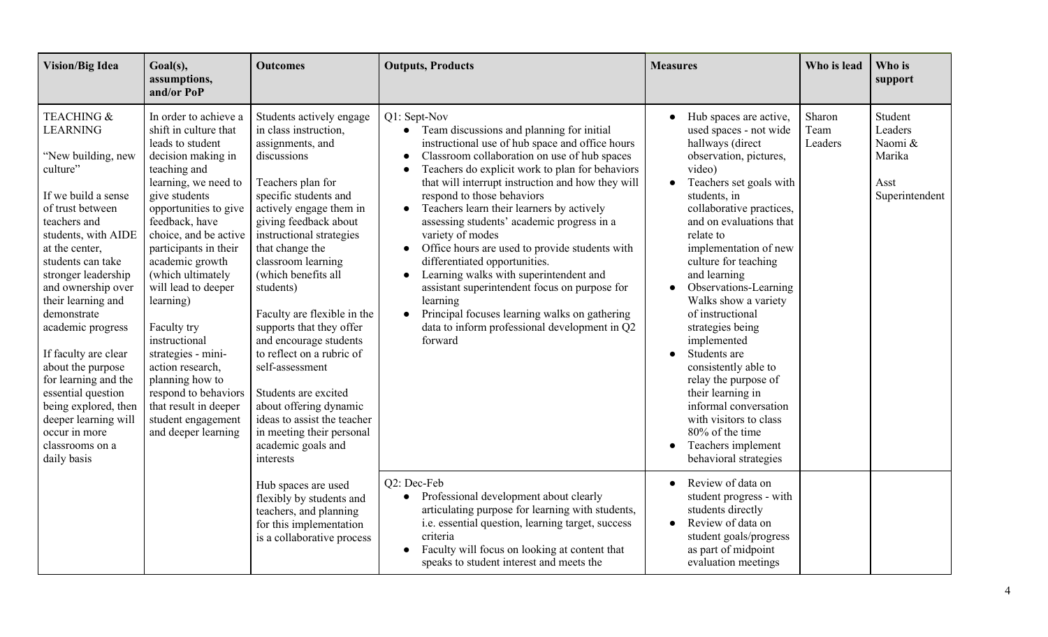| <b>Vision/Big Idea</b>                                                                                                                                                                                                                                                                                                                                                                                                                                                                                   | Goal(s),<br>assumptions,<br>and/or PoP                                                                                                                                                                                                                                                                                                                                                                                                                                                                                | <b>Outcomes</b>                                                                                                                                                                                                                                                                                                                                                                                                                                                                                                                                                                       | <b>Outputs, Products</b>                                                                                                                                                                                                                                                                                                                                                                                                                                                                                                                                                                                                                                                                                                                             | <b>Measures</b>                                                                                                                                                                                                                                                                                                                                                                                                                                                                                                                                                                                            | Who is lead               | Who is<br>support                                                 |
|----------------------------------------------------------------------------------------------------------------------------------------------------------------------------------------------------------------------------------------------------------------------------------------------------------------------------------------------------------------------------------------------------------------------------------------------------------------------------------------------------------|-----------------------------------------------------------------------------------------------------------------------------------------------------------------------------------------------------------------------------------------------------------------------------------------------------------------------------------------------------------------------------------------------------------------------------------------------------------------------------------------------------------------------|---------------------------------------------------------------------------------------------------------------------------------------------------------------------------------------------------------------------------------------------------------------------------------------------------------------------------------------------------------------------------------------------------------------------------------------------------------------------------------------------------------------------------------------------------------------------------------------|------------------------------------------------------------------------------------------------------------------------------------------------------------------------------------------------------------------------------------------------------------------------------------------------------------------------------------------------------------------------------------------------------------------------------------------------------------------------------------------------------------------------------------------------------------------------------------------------------------------------------------------------------------------------------------------------------------------------------------------------------|------------------------------------------------------------------------------------------------------------------------------------------------------------------------------------------------------------------------------------------------------------------------------------------------------------------------------------------------------------------------------------------------------------------------------------------------------------------------------------------------------------------------------------------------------------------------------------------------------------|---------------------------|-------------------------------------------------------------------|
| <b>TEACHING &amp;</b><br><b>LEARNING</b><br>"New building, new<br>culture"<br>If we build a sense<br>of trust between<br>teachers and<br>students, with AIDE<br>at the center,<br>students can take<br>stronger leadership<br>and ownership over<br>their learning and<br>demonstrate<br>academic progress<br>If faculty are clear<br>about the purpose<br>for learning and the<br>essential question<br>being explored, then<br>deeper learning will<br>occur in more<br>classrooms on a<br>daily basis | In order to achieve a<br>shift in culture that<br>leads to student<br>decision making in<br>teaching and<br>learning, we need to<br>give students<br>opportunities to give<br>feedback, have<br>choice, and be active<br>participants in their<br>academic growth<br>(which ultimately<br>will lead to deeper<br>learning)<br>Faculty try<br>instructional<br>strategies - mini-<br>action research,<br>planning how to<br>respond to behaviors<br>that result in deeper<br>student engagement<br>and deeper learning | Students actively engage<br>in class instruction,<br>assignments, and<br>discussions<br>Teachers plan for<br>specific students and<br>actively engage them in<br>giving feedback about<br>instructional strategies<br>that change the<br>classroom learning<br>(which benefits all<br>students)<br>Faculty are flexible in the<br>supports that they offer<br>and encourage students<br>to reflect on a rubric of<br>self-assessment<br>Students are excited<br>about offering dynamic<br>ideas to assist the teacher<br>in meeting their personal<br>academic goals and<br>interests | Q1: Sept-Nov<br>• Team discussions and planning for initial<br>instructional use of hub space and office hours<br>Classroom collaboration on use of hub spaces<br>Teachers do explicit work to plan for behaviors<br>that will interrupt instruction and how they will<br>respond to those behaviors<br>Teachers learn their learners by actively<br>$\bullet$<br>assessing students' academic progress in a<br>variety of modes<br>Office hours are used to provide students with<br>differentiated opportunities.<br>Learning walks with superintendent and<br>assistant superintendent focus on purpose for<br>learning<br>Principal focuses learning walks on gathering<br>$\bullet$<br>data to inform professional development in Q2<br>forward | Hub spaces are active,<br>used spaces - not wide<br>hallways (direct<br>observation, pictures,<br>video)<br>Teachers set goals with<br>students, in<br>collaborative practices,<br>and on evaluations that<br>relate to<br>implementation of new<br>culture for teaching<br>and learning<br>Observations-Learning<br>Walks show a variety<br>of instructional<br>strategies being<br>implemented<br>Students are<br>consistently able to<br>relay the purpose of<br>their learning in<br>informal conversation<br>with visitors to class<br>80% of the time<br>Teachers implement<br>behavioral strategies | Sharon<br>Team<br>Leaders | Student<br>Leaders<br>Naomi &<br>Marika<br>Asst<br>Superintendent |
|                                                                                                                                                                                                                                                                                                                                                                                                                                                                                                          |                                                                                                                                                                                                                                                                                                                                                                                                                                                                                                                       | Hub spaces are used<br>flexibly by students and<br>teachers, and planning<br>for this implementation<br>is a collaborative process                                                                                                                                                                                                                                                                                                                                                                                                                                                    | Q2: Dec-Feb<br>Professional development about clearly<br>articulating purpose for learning with students,<br>i.e. essential question, learning target, success<br>criteria<br>Faculty will focus on looking at content that<br>speaks to student interest and meets the                                                                                                                                                                                                                                                                                                                                                                                                                                                                              | Review of data on<br>student progress - with<br>students directly<br>Review of data on<br>student goals/progress<br>as part of midpoint<br>evaluation meetings                                                                                                                                                                                                                                                                                                                                                                                                                                             |                           |                                                                   |